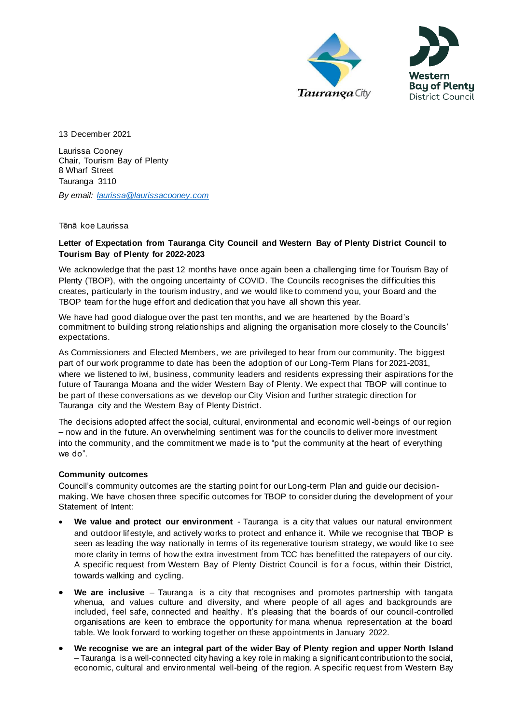



13 December 2021

Laurissa Cooney Chair, Tourism Bay of Plenty 8 Wharf Street Tauranga 3110

*By email: [laurissa@laurissacooney.com](mailto:laurissa@laurissacooney.com)*

Tēnā koe Laurissa

# **Letter of Expectation from Tauranga City Council and Western Bay of Plenty District Council to Tourism Bay of Plenty for 2022-2023**

We acknowledge that the past 12 months have once again been a challenging time for Tourism Bay of Plenty (TBOP), with the ongoing uncertainty of COVID. The Councils recognises the difficulties this creates, particularly in the tourism industry, and we would like to commend you, your Board and the TBOP team for the huge effort and dedication that you have all shown this year.

We have had good dialogue over the past ten months, and we are heartened by the Board's commitment to building strong relationships and aligning the organisation more closely to the Councils' expectations.

As Commissioners and Elected Members, we are privileged to hear from our community. The biggest part of our work programme to date has been the adoption of our Long-Term Plans for 2021-2031, where we listened to iwi, business, community leaders and residents expressing their aspirations for the future of Tauranga Moana and the wider Western Bay of Plenty. We expect that TBOP will continue to be part of these conversations as we develop our City Vision and further strategic direction for Tauranga city and the Western Bay of Plenty District.

The decisions adopted affect the social, cultural, environmental and economic well-beings of our region – now and in the future. An overwhelming sentiment was for the councils to deliver more investment into the community, and the commitment we made is to "put the community at the heart of everything we do".

## **Community outcomes**

Council's community outcomes are the starting point for our Long-term Plan and guide our decisionmaking. We have chosen three specific outcomes for TBOP to consider during the development of your Statement of Intent:

- **We value and protect our environment** Tauranga is a city that values our natural environment and outdoor lifestyle, and actively works to protect and enhance it. While we recognise that TBOP is seen as leading the way nationally in terms of its regenerative tourism strategy, we would like to see more clarity in terms of how the extra investment from TCC has benefitted the ratepayers of our city. A specific request from Western Bay of Plenty District Council is for a focus, within their District, towards walking and cycling.
- **We are inclusive** Tauranga is a city that recognises and promotes partnership with tangata whenua, and values culture and diversity, and where people of all ages and backgrounds are included, feel safe, connected and healthy. It's pleasing that the boards of our council-controlled organisations are keen to embrace the opportunity for mana whenua representation at the board table. We look forward to working together on these appointments in January 2022.
- **We recognise we are an integral part of the wider Bay of Plenty region and upper North Island** – Tauranga is a well-connected city having a key role in making a significant contribution to the social, economic, cultural and environmental well-being of the region. A specific request from Western Bay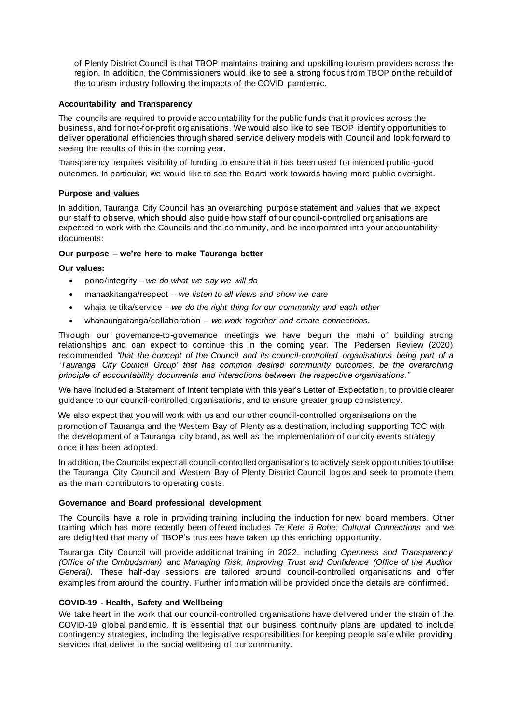of Plenty District Council is that TBOP maintains training and upskilling tourism providers across the region. In addition, the Commissioners would like to see a strong focus from TBOP on the rebuild of the tourism industry following the impacts of the COVID pandemic.

### **Accountability and Transparency**

The councils are required to provide accountability for the public funds that it provides across the business, and for not-for-profit organisations. We would also like to see TBOP identify opportunities to deliver operational efficiencies through shared service delivery models with Council and look forward to seeing the results of this in the coming year.

Transparency requires visibility of funding to ensure that it has been used for intended public -good outcomes. In particular, we would like to see the Board work towards having more public oversight.

#### **Purpose and values**

In addition, Tauranga City Council has an overarching purpose statement and values that we expect our staff to observe, which should also guide how staff of our council-controlled organisations are expected to work with the Councils and the community, and be incorporated into your accountability documents:

#### **Our purpose – we're here to make Tauranga better**

#### **Our values:**

- pono/integrity *– we do what we say we will do*
- manaakitanga/respect *we listen to all views and show we care*
- whaia te tika/service *we do the right thing for our community and each other*
- whanaungatanga/collaboration *– we work together and create connections.*

Through our governance-to-governance meetings we have begun the mahi of building strong relationships and can expect to continue this in the coming year. The Pedersen Review (2020) recommended *"that the concept of the Council and its council-controlled organisations being part of a 'Tauranga City Council Group' that has common desired community outcomes, be the overarching principle of accountability documents and interactions between the respective organisations."*

We have included a Statement of Intent template with this year's Letter of Expectation, to provide clearer guidance to our council-controlled organisations, and to ensure greater group consistency.

We also expect that you will work with us and our other council-controlled organisations on the promotion of Tauranga and the Western Bay of Plenty as a destination, including supporting TCC with the development of a Tauranga city brand, as well as the implementation of our city events strategy once it has been adopted.

In addition, the Councils expect all council-controlled organisations to actively seek opportunities to utilise the Tauranga City Council and Western Bay of Plenty District Council logos and seek to promote them as the main contributors to operating costs.

#### **Governance and Board professional development**

The Councils have a role in providing training including the induction for new board members. Other training which has more recently been offered includes *Te Kete ā Rohe: Cultural Connections* and we are delighted that many of TBOP's trustees have taken up this enriching opportunity.

Tauranga City Council will provide additional training in 2022, including *Openness and Transparency (Office of the Ombudsman)* and *Managing Risk, Improving Trust and Confidence (Office of the Auditor General)*. These half-day sessions are tailored around council-controlled organisations and offer examples from around the country. Further information will be provided once the details are confirmed.

## **COVID-19 - Health, Safety and Wellbeing**

We take heart in the work that our council-controlled organisations have delivered under the strain of the COVID-19 global pandemic. It is essential that our business continuity plans are updated to include contingency strategies, including the legislative responsibilities for keeping people safe while providing services that deliver to the social wellbeing of our community.